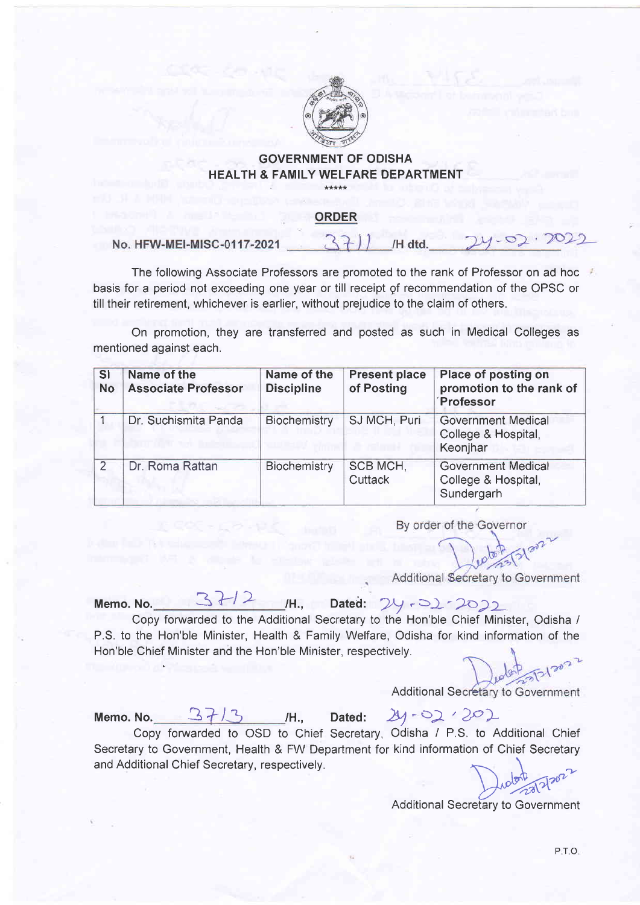

## GOVERNMENT OF ODISHA HEALTH & FAMILY WELFARE DEPARTMENT

## ORDER

No. HFW-MEI-MISC-0117-2021 /H dtd

The following Associate Professors are promoted to the rank of Professor on ad hoc basis for a period not exceeding one year or till receipt gf recommendation of the OPSC or till their retirement, whichever is earlier, without prejudice to the claim of others.

On promotion, they are transferred and posted as such in Medical Colleges as mentioned against each.

| <b>SI</b><br><b>No</b> | Name of the<br><b>Associate Professor</b> | Name of the<br><b>Discipline</b> | <b>Present place</b><br>of Posting | Place of posting on<br>promotion to the rank of<br>Professor   |
|------------------------|-------------------------------------------|----------------------------------|------------------------------------|----------------------------------------------------------------|
|                        | Dr. Suchismita Panda                      | Biochemistry                     | SJ MCH, Puri                       | <b>Government Medical</b><br>College & Hospital,<br>Keonjhar   |
| 2                      | Dr. Roma Rattan                           | Biochemistry                     | SCB MCH,<br>Cuttack                | <b>Government Medical</b><br>College & Hospital,<br>Sundergarh |

By order of the Governor

Additional Secretary to Government

Memo. No.  $3H2$  H., Dated:  $24.22222$ 

Copy forwarded to the Additional Secretary to the Hon'ble Chief Minister, Odisha / P.S. to the Hon'ble Minister, Health & Family Welfare, Odisha for kind information of the Hon'ble Chief Minister and the Hon'ble Minister, respectively.

**Additional Secretary to Government** 

Memo. No.  $3/3$ 

tH.,

tH.,

Dated:  $24 - 02 / 202$ 

Copy forwarded to OSD to Chief Secretary, Odisha / P.S. to Additional Chief kind information of Chief Secretary to Additional C<br>
n of Chief Secre<br>
metary to Governmetary to Governmetary to Government Secretary to Government, Health & FW Department for and Additional Chief Secretary, respectively.

Additional Secretary to Governmen